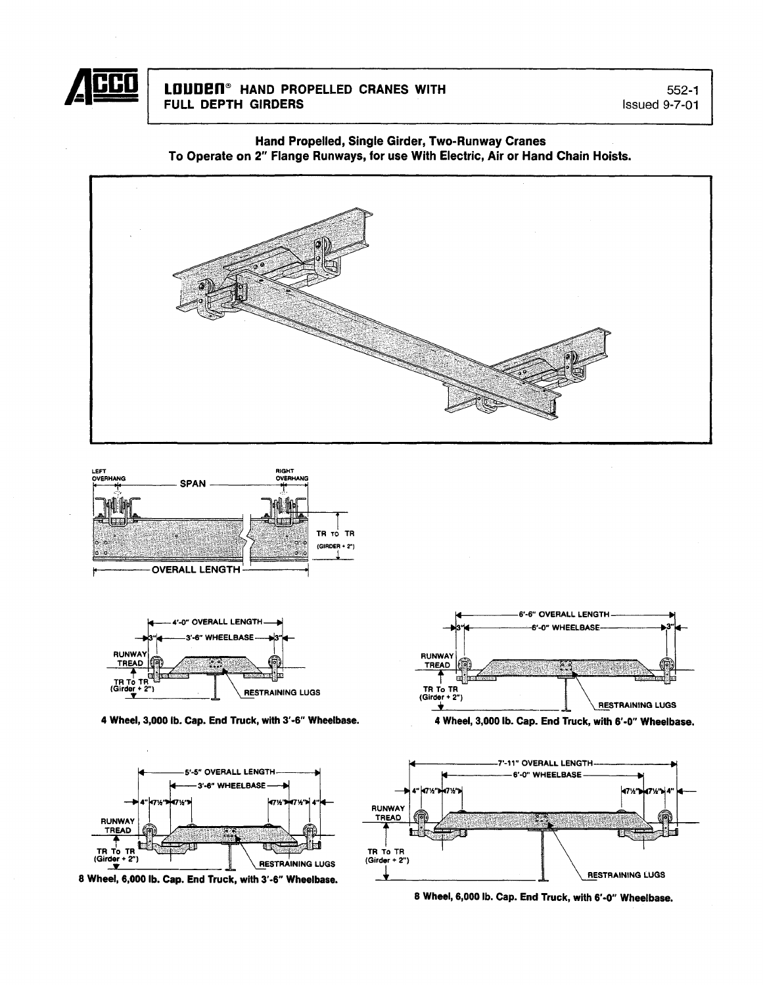

# LOUDEN<sup>®</sup> HAND PROPELLED CRANES WITH FULL DEPTH GIRDERS

552-1 Issued 9-7-01

Hand Propelled, Single Girder, Two-Runway Cranes To Operate on 2" Flange Runways, for use With Electric, Air or Hand Chain Hoists.







4 Wheel, 3,000 lb. Cap. End Truck, with 3'-6" Wheelbase. 4



8 Wheel, 6,000 lb. Cap. End Truck, with 3'·6" Wheelbase.



Wheel, 3,000 lb. Cap. End Truck, with 6'-0" Wheelbase.



8 Wheel, 6,000 lb. Cap. End Truck, with 6'-0" Wheelbase.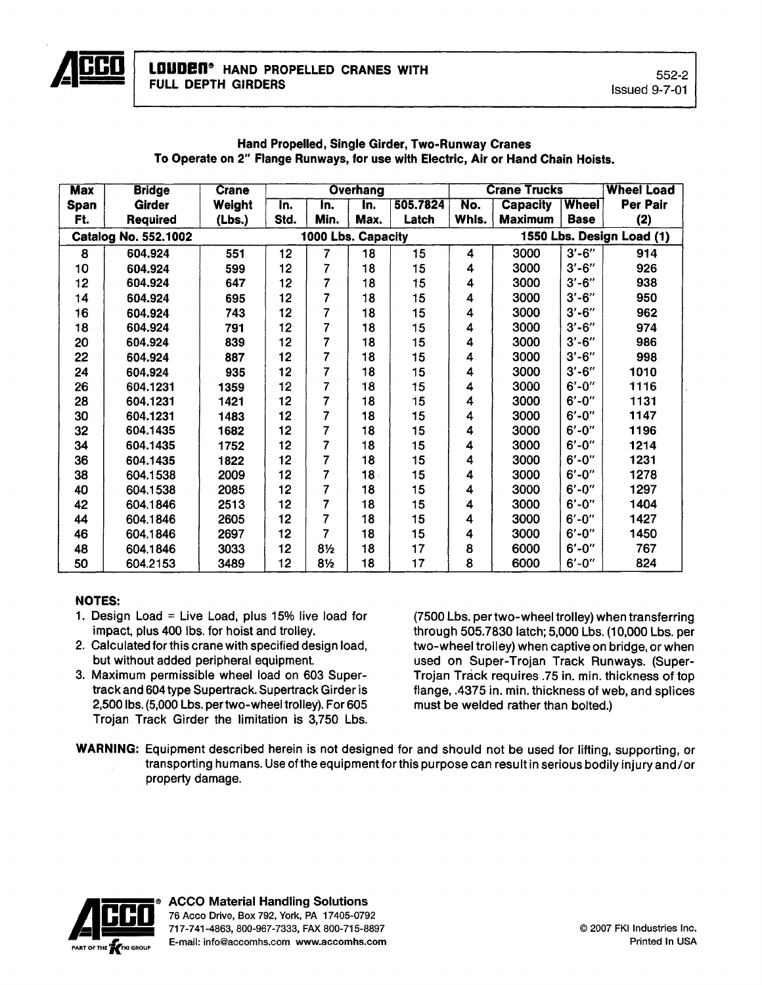

| <b>Max</b>        | <b>Bridge</b>               | <b>Crane</b> | <b>Overhang</b> |                    |                           |          |       | <b>Crane Trucks</b> | <b>Wheel Load</b> |                           |
|-------------------|-----------------------------|--------------|-----------------|--------------------|---------------------------|----------|-------|---------------------|-------------------|---------------------------|
| Span              | Girder                      | Weight       | In.             | In.                | $\overline{\mathsf{In}.}$ | 505.7824 | No.   | <b>Capacity</b>     | <b>Wheel</b>      | Per Pair                  |
| Ft.               | <b>Required</b>             | (Lbs.)       | Std.            | Min.               | Max.                      | Latch    | Whls. | <b>Maximum</b>      | <b>Base</b>       | (2)                       |
|                   | <b>Catalog No. 552.1002</b> |              |                 | 1000 Lbs. Capacity |                           |          |       |                     |                   | 1550 Lbs. Design Load (1) |
| 8                 | 604.924                     | 551          | 12              | 7                  | 18                        | 15       | 4     | 3000                | $3' - 6''$        | 914                       |
| 10                | 604.924                     | 599          | 12              | 7                  | 18                        | 15       | 4     | 3000                | $3' - 6''$        | 926                       |
| $12 \overline{ }$ | 604.924                     | 647          | 12              | 7                  | 18                        | 15       | 4     | 3000                | $3' - 6''$        | 938                       |
| 14                | 604.924                     | 695          | 12              | 7                  | 18                        | 15       | 4     | 3000                | $3' - 6''$        | 950                       |
| 16                | 604.924                     | 743          | 12 <sub>2</sub> | 7                  | 18                        | 15       | 4     | 3000                | $3' - 6''$        | 962                       |
| 18                | 604.924                     | 791          | 12              | 7                  | 18                        | 15       | 4     | 3000                | $3' - 6''$        | 974                       |
| 20                | 604.924                     | 839          | 12              | 7                  | 18                        | 15       | 4     | 3000                | $3'-6''$          | 986                       |
| 22                | 604.924                     | 887          | 12              | 7                  | 18                        | 15       | 4     | 3000                | $3' - 6''$        | 998                       |
| 24                | 604.924                     | 935          | 12              | 7                  | 18                        | 15       | 4     | 3000                | $3' - 6''$        | 1010                      |
| 26                | 604.1231                    | 1359         | 12              | 7                  | 18                        | 15       | 4     | 3000                | $6' - 0''$        | 1116                      |
| 28                | 604.1231                    | 1421         | 12              | 7                  | 18                        | 15       | 4     | 3000                | $6' - 0''$        | 1131                      |
| 30                | 604.1231                    | 1483         | 12              | 7                  | 18                        | 15       | 4     | 3000                | $6' - 0''$        | 1147                      |
| 32                | 604.1435                    | 1682         | 12              | 7                  | 18                        | 15       | 4     | 3000                | $6' - 0''$        | 1196                      |
| 34                | 604.1435                    | 1752         | 12              | 7                  | 18                        | 15       | 4     | 3000                | $6' - 0''$        | 1214                      |
| 36                | 604.1435                    | 1822         | 12              | 7                  | 18                        | 15       | 4     | 3000                | $6' - 0''$        | 1231                      |
| 38                | 604.1538                    | 2009         | 12              | 7                  | $18 -$                    | 15       | 4     | 3000                | $6' - 0''$        | 1278                      |
| 40                | 604.1538                    | 2085         | 12              | 7                  | 18                        | 15       | 4     | 3000                | $6' - 0''$        | 1297                      |
| 42                | 604.1846                    | 2513         | 12              | 7                  | 18                        | 15       | 4     | 3000                | $6' - 0''$        | 1404                      |
| 44                | 604.1846                    | 2605         | 12              | 7                  | 18                        | 15       | 4     | 3000                | $6' - 0''$        | 1427                      |
| 46                | 604.1846                    | 2697         | 12              | 7                  | 18                        | 15       | 4     | 3000                | $6' - 0''$        | 1450                      |
| 48                | 604.1846                    | 3033         | 12              | $8\frac{1}{2}$     | 18                        | 17       | 8     | 6000                | $6' - 0''$        | 767                       |
| 50                | 604.2153                    | 3489         | 12              | $8\frac{1}{2}$     | 18                        | 17       | 8     | 6000                | $6' - 0''$        | 824                       |

# Hand Propelled, Single Girder, Two-Runway Cranes To Operate on 2" Flange Runways, for use with Electric, Air or Hand Chain Hoists.

# NOTES:

- 1. Design Load = Live Load, plus  $15\%$  live load for impact, plus 400 Ibs. for hoist and trolley.
- 2. Calculated for this crane with specified design load, but without added peripheral equipment.
- 3. Maximum permissible wheel load on 603 Supertrack and 604 type Supertrack. Supertrack Girder is 2,500 Ibs. (5,000 Lbs. pertwo-wheel trolley). For 605 Trojan Track Girder the limitation is 3,750 Lbs.

(7500 Lbs. per two-wheel trolley) when transferring through 505.7830 latch; 5,000 Lbs. (10,000 Lbs. per two-wheel trolley) when captive on bridge, or when used on Super-Trojan Track Runways. (Super-Trojan Track requires .75 in. min. thickness of top flange, .4375 in. min. thickness of web, and splices must be welded rather than bolted.)

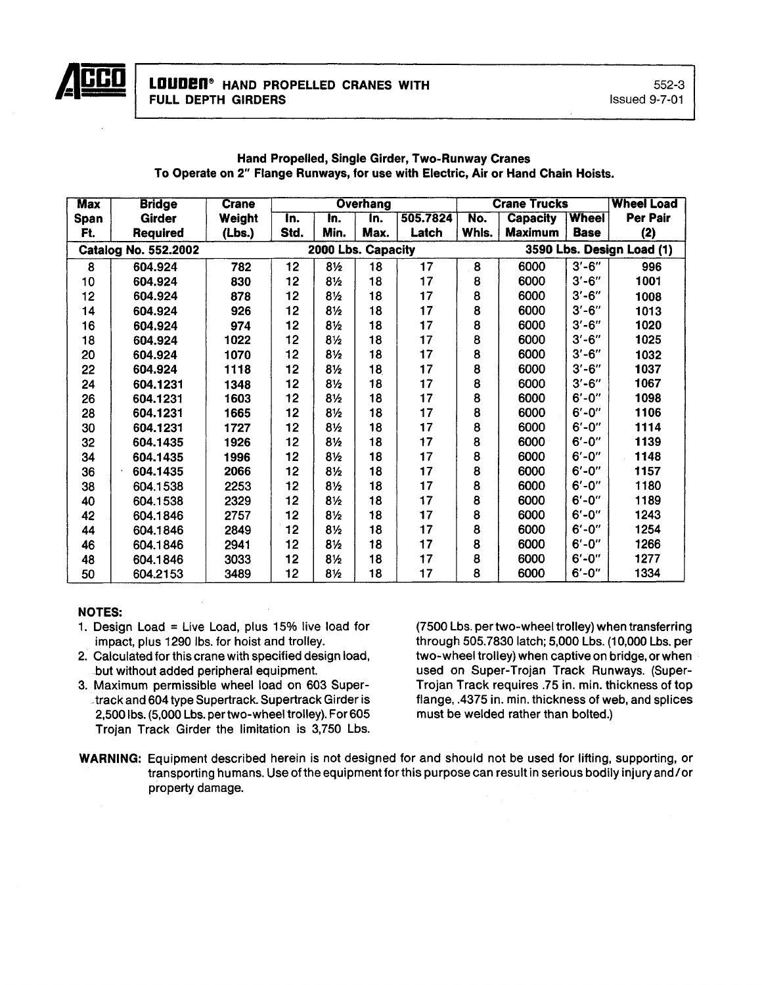

| <b>Max</b> | <b>Bridge</b>               | <b>Crane</b> |      |                    | <b>Overhang</b> |          |       | <b>Crane Trucks</b> | <b>Wheel Load</b>         |                 |  |
|------------|-----------------------------|--------------|------|--------------------|-----------------|----------|-------|---------------------|---------------------------|-----------------|--|
| Span       | <b>Girder</b>               | Weight       | In.  | In.                | In.             | 505.7824 | No.   | <b>Capacity</b>     | <b>Wheel</b>              | <b>Per Pair</b> |  |
| Ft.        | Required                    | (Lbs.)       | Std. | Min.               | Max.            | Latch    | Whis. | <b>Maximum</b>      | <b>Base</b>               | (2)             |  |
|            | <b>Catalog No. 552.2002</b> |              |      | 2000 Lbs. Capacity |                 |          |       |                     | 3590 Lbs. Design Load (1) |                 |  |
| 8          | 604.924                     | 782          | 12   | $8\frac{1}{2}$     | 18              | 17       | 8     | 6000                | $3' - 6''$                | 996             |  |
| 10         | 604.924                     | 830          | 12   | $8\frac{1}{2}$     | 18              | 17       | 8     | 6000                | $3' - 6''$                | 1001            |  |
| 12         | 604.924                     | 878          | 12   | $8\frac{1}{2}$     | 18              | 17       | 8     | 6000                | $3' - 6''$                | 1008            |  |
| 14         | 604.924                     | 926          | 12   | $8\frac{1}{2}$     | 18              | 17       | 8     | 6000                | $3' - 6''$                | 1013            |  |
| 16         | 604.924                     | 974          | 12   | $8\frac{1}{2}$     | 18              | 17       | 8     | 6000                | $3' - 6''$                | 1020            |  |
| 18         | 604.924                     | 1022         | 12   | $8\frac{1}{2}$     | 18              | 17       | 8     | 6000                | $3' - 6''$                | 1025            |  |
| 20         | 604.924                     | 1070         | 12   | $8\frac{1}{2}$     | 18              | 17       | 8     | 6000                | $3' - 6''$                | 1032            |  |
| 22         | 604.924                     | 1118         | 12   | 8½                 | 18              | 17       | 8     | 6000                | $3' - 6''$                | 1037            |  |
| 24         | 604.1231                    | 1348         | 12   | $8\frac{1}{2}$     | 18              | 17       | 8     | 6000                | $3' - 6''$                | 1067            |  |
| 26         | 604.1231                    | 1603         | 12   | $8\frac{1}{2}$     | 18              | 17       | 8     | 6000                | $6' - 0''$                | 1098            |  |
| 28         | 604.1231                    | 1665         | 12   | $8\frac{1}{2}$     | 18              | 17       | 8     | 6000                | $6' - 0''$                | 1106            |  |
| 30         | 604.1231                    | 1727         | 12   | 8 <sub>2</sub>     | 18              | 17       | 8     | 6000                | $6' - 0''$                | 1114            |  |
| 32         | 604.1435                    | 1926         | 12   | $8\frac{1}{2}$     | 18              | 17       | 8     | 6000                | $6' - 0''$                | 1139            |  |
| 34         | 604.1435                    | 1996         | 12   | $8\frac{1}{2}$     | 18              | 17       | 8     | 6000                | $6' - 0''$                | 1148            |  |
| 36         | 604.1435                    | 2066         | 12   | 8½                 | 18              | 17       | 8     | 6000                | $6' - 0''$                | 1157            |  |
| 38         | 604.1538                    | 2253         | 12   | $8\frac{1}{2}$     | 18              | 17       | 8     | 6000                | $6' - 0''$                | 1180            |  |
| 40         | 604.1538                    | 2329         | 12   | 8½                 | 18              | 17       | 8     | 6000                | $6' - 0''$                | 1189            |  |
| 42         | 604.1846                    | 2757         | 12   | $8\frac{1}{2}$     | 18              | 17       | 8     | 6000                | $6' - 0''$                | 1243            |  |
| 44         | 604.1846                    | 2849         | 12   | $8\frac{1}{2}$     | 18              | 17       | 8     | 6000                | $6' - 0''$                | 1254            |  |
| 46         | 604.1846                    | 2941         | 12   | 8½                 | 18              | 17       | 8     | 6000                | $6' - 0''$                | 1266            |  |
| 48         | 604.1846                    | 3033         | 12   | $8\frac{1}{2}$     | 18              | 17       | 8     | 6000                | $6' - 0''$                | 1277            |  |
| 50         | 604.2153                    | 3489         | 12   | $8\frac{1}{2}$     | 18              | 17       | 8     | 6000                | $6' - 0''$                | 1334            |  |

### Hand Propelled, Single Girder, Two-Runway Cranes To Operate on 2" Flange Runways, for use with Electric, Air or Hand Chain Hoists.

# NOTES:

- 1. Design Load = Live Load, plus  $15\%$  live load for impact, plus 1290 Ibs. for hoist and trolley.
- 2. Calculated for this crane with specified design load, but without added peripheral equipment.
- 3. Maximum permissible wheel load on 603 Super· ,track and 604 type Supertrack. Supertrack Girder is 2,500 lbs. (5,000 Lbs. per two-wheel trolley). For 605 Trojan Track Girder the limitation is 3,750 Lbs.

(7500 Lbs. per two·wheel trolley) when transferring through 505.7830 latch; 5,000 Lbs. (10,000 Lbs. per two-wheel trolley) when captive on bridge, or when used on Super·Trojan Track Runways. (Super-Trojan Track requires .75 in. min. thickness of top flange, .4375 in. min. thickness of web, and splices must be welded rather than bolted.)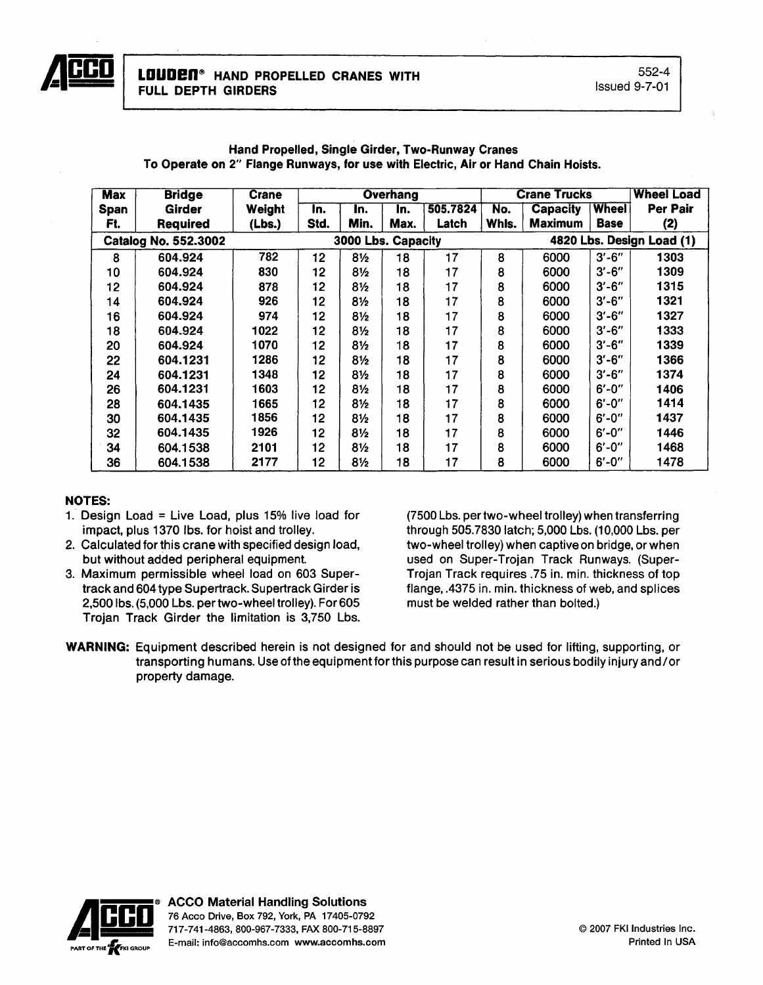| Max         | <b>Bridge</b>               | <b>Crane</b> |                 |                    | Overhang |          |       | <b>Crane Trucks</b> | Wheel Load   |                           |
|-------------|-----------------------------|--------------|-----------------|--------------------|----------|----------|-------|---------------------|--------------|---------------------------|
| <b>Span</b> | <b>Girder</b>               | Weight       | In.             | In.                | In.      | 505.7824 | No.   | <b>Capacity</b>     | <b>Wheel</b> | <b>Per Pair</b>           |
| Ft.         | <b>Required</b>             | (Lbs.)       | Std.            | Min.               | Max.     | Latch    | Whls. | <b>Maximum</b>      | <b>Base</b>  | (2)                       |
|             | <b>Catalog No. 552.3002</b> |              |                 | 3000 Lbs. Capacity |          |          |       |                     |              | 4820 Lbs. Design Load (1) |
| 8           | 604.924                     | 782          | 12 <sub>2</sub> | $8\frac{1}{2}$     | 18       | 17       | 8     | 6000                | $3' - 6''$   | 1303                      |
| 10          | 604.924                     | 830          | 12              | $8\frac{1}{2}$     | 18       | 17       | 8     | 6000                | $3' - 6''$   | 1309                      |
| 12          | 604.924                     | 878          | 12              | 8½                 | 18       | 17       | 8     | 6000                | $3' - 6''$   | 1315                      |
| 14          | 604.924                     | 926          | 12              | 8½                 | 18       | 17       | 8     | 6000                | $3' - 6''$   | 1321                      |
| 16          | 604.924                     | 974          | 12              | 8½                 | 18       | 17       | 8     | 6000                | $3' - 6''$   | 1327                      |
| 18          | 604.924                     | 1022         | 12              | 8½                 | 18       | 17       | 8     | 6000                | $3' - 6''$   | 1333                      |
| 20          | 604.924                     | 1070         | 12              | 8½                 | 18       | 17       | 8     | 6000                | $3' - 6''$   | 1339                      |
| 22          | 604.1231                    | 1286         | 12              | 8½                 | 18       | 17       | 8     | 6000                | $3' - 6''$   | 1366                      |
| 24          | 604.1231                    | 1348         | 12              | 8½                 | 18       | 17       | 8     | 6000                | $3' - 6''$   | 1374                      |
| 26          | 604.1231                    | 1603         | 12              | 8½                 | 18       | 17       | 8     | 6000                | $6' - 0''$   | 1406                      |
| 28          | 604.1435                    | 1665         | 12              | 8½                 | 18       | 17       | 8     | 6000                | $6' - 0''$   | 1414                      |
| 30          | 604.1435                    | 1856         | 12              | 8½                 | 18       | 17       | 8     | 6000                | $6' - 0''$   | 1437                      |
| 32          | 604.1435                    | 1926         | 12              | 8½                 | 18       | 17       | 8     | 6000                | $6' - 0''$   | 1446                      |
| 34          | 604.1538                    | 2101         | 12              | 8½                 | 18       | 17       | 8     | 6000                | $6' - 0''$   | 1468                      |
| 36          | 604.1538                    | 2177         | 12              | 8½                 | 18       | 17       | 8     | 6000                | $6' - 0''$   | 1478                      |

#### Hand Propelled, Single Girder, Two-Runway Cranes To Operate on 2" Flange Runways, for use with Electric, Air or Hand Chain Hoists.

# NOTES:

- 1. Design Load = Live Load, plus 15% live load for impact, plus 1370 Ibs. for hoist and trolley.
- 2. Calculated for this crane with specified design load, but without added peripheral equipment.
- 3. Maximum permissible wheel load on 603 Supertrack and 604 type Supertrack. Supertrack Girder is 2,500 Ibs. (5,000 Lbs. pertwo-wheel trolley). For 605 Trojan Track Girder the limitation is 3,750 Lbs.

(7500 Lbs. per two·wheel trolley) when transferring through 505.7830 latch; 5,000 Lbs. (10,000 Lbs. per two·wheel trolley) when captive on bridge, or when used on Super-Trojan Track Runways. (Super-Trojan Track requires .75 in. min. thickness of top flange, .4375 in. min. thickness of web, and splices must be welded rather than bolted.)

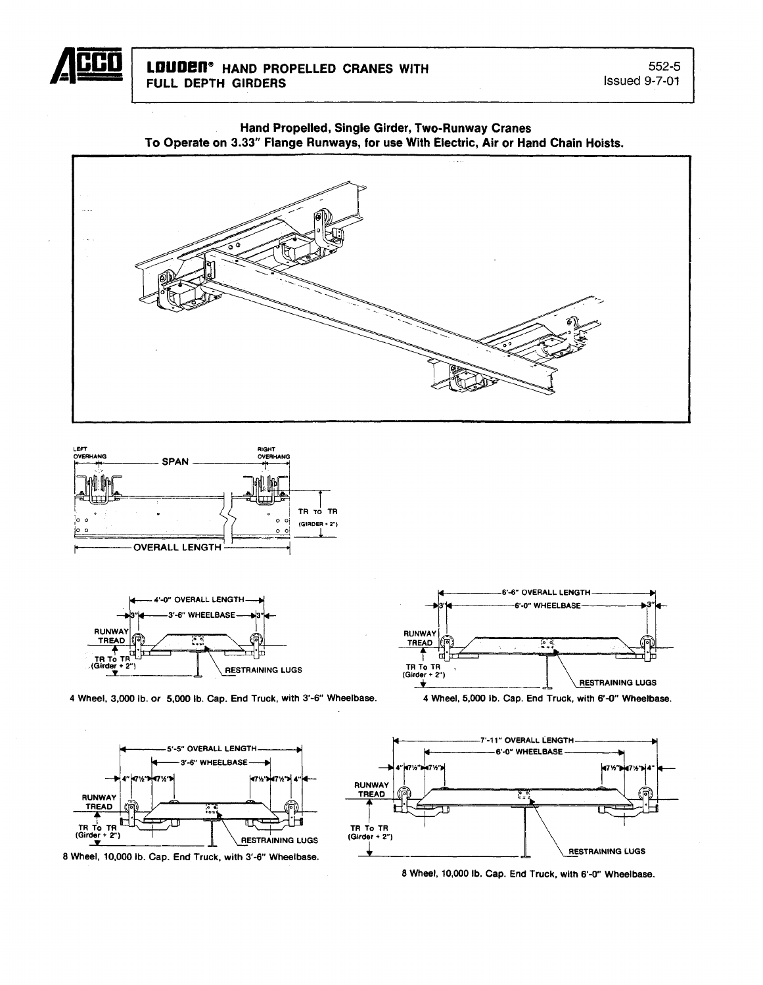









4 Wheel, 3,000 lb. or 5,000 lb. Cap, End Truck, with 3'-6" Wheelbase. 4 Wheel, 5,000 lb. Cap. End Truck, with 6'-0" Wheelbase.











8 Wheel, 10,000 lb. Cap. End Truck, with 6'-0" Wheelbase.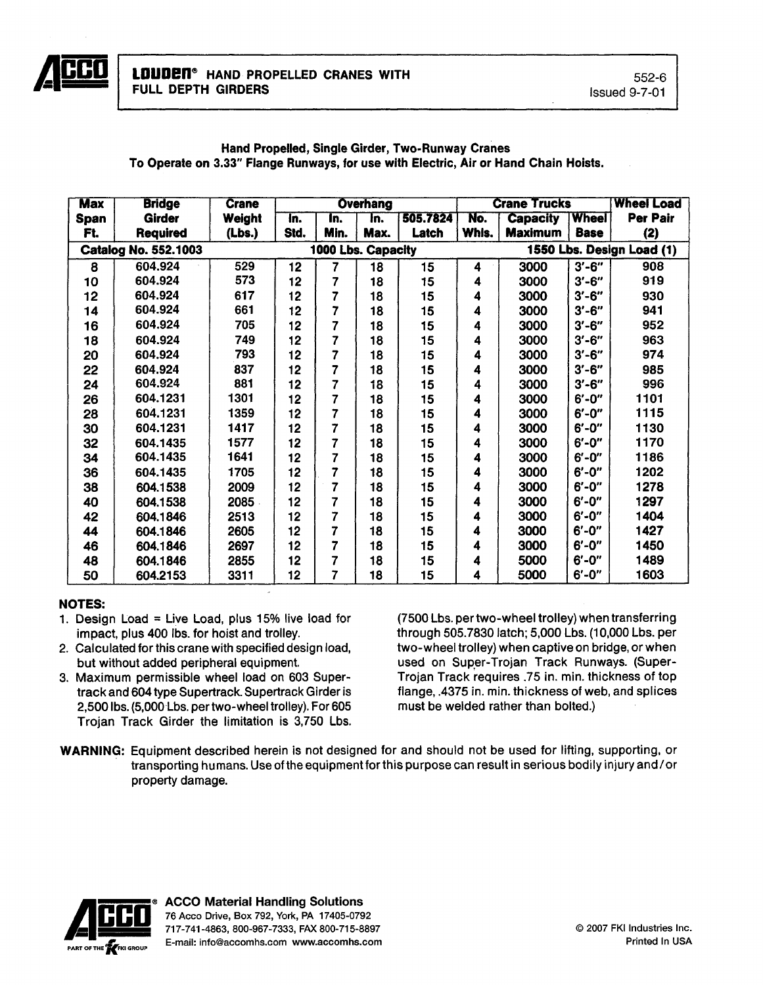

# Max Bridge Crane Overhang Crane Trucks Wheel Load<br>Span Girder Weight In. In. In. 505.7824 No. Capacity Wheel Per Pair Span | Girder | Weight | In. | In. | In. | 505.7824 | No. | Capacity |Wheel | Per Pair Ft. | Required | (Lbs.) |Std. |Min. |Max. | Latch |Whls. |Maximum |Base | (2) Catalog No. 552.1003 1000 Lbs. Capacity 1550 Lbs. Design Load (1)<br>
8 604.924 529 12 7 18 15 4 3000 3'-6" 908 8 604.924 529 12 7 18 15 4 3000 3'-6" 908 10 | 604.924 | 573 | 12 | 7 | 18 | 15 | 4 | 3000 |3′-6″ | 919 12 | 604.924 | 617 | 12 | 7 | 18 | 15 | 4 | 3000 |3′-6″ | 930 14 604.924 661 12 7 18 15 4 3000 3'-6" 941 16 | 604.924 | 705 | 12 | 7 | 18 | 15 | 4 | 3000 |3′-6″ | 952 18 | 604.924 | 749 | 12 | 7 | 18 | 15 | 4 | 3000 |3′-6″ | 963 20 | 604.924 | 793 | 12 | 7 | 18 | 15 | 4 | 3000 |3′-6″ | 974 22 | 604.924 | 837 | 12 | 7 | 18 | 15 | 4 | 3000 |3′-6″ | 985 24 | 604.924 | 881 | 12 | 7 | 18 | 15 | 4 | 3000 |3′-6″ | 996 26 | 604.1231 | 1301 | 12 | 7 | 18 | 15 | 4 | 3000 |6′-0″ | 1101 28 | 604.1231 | 1359 | 12 | 7 | 18 | 15 | 4 | 3000 |6′-0″ | 1115 30 | 604.1231 | 1417 | 12 | 7 | 18 | 15 | 4 | 3000 |6′-0″ | 1130

32 | 604.1435 | 1577 | 12 | 7 | 18 | 15 | 4 | 3000 |6′-0″ | 1170 34 | 604.1435 | 1641 | 12 | 7 | 18 | 15 | 4 | 3000 |6′-0″ | 1186 36 604.1435 1705 12 7 18 15 4 3000 6'-0" 1202 38 | 604.1538 | 2009 | 12 | 7 | 18 | 15 | 4 | 3000 |6′-0″ | 1278 40 | 604.1538 | 2085 | 12 | 7 | 18 | 15 | 4 | 3000 |6′-0″ | 1297 42 | 604.1846 | 2513 | 12 | 7 | 18 | 15 | 4 | 3000 |6′-0″ | 1404 44 604.1846 2605 12 7 18 15 4 3000 6'·0" 1427 46 | 604.1846 | 2697 | 12 | 7 | 18 | 15 | 4 | 3000 |6′-0″ | 1450 48 | 604.1846 | 2855 | 12 | 7 | 18 | 15 | 4 | 5000 |6′-0″ | 1489 50 604.2153 3311 12 7 18 15 4 5000 6'-0" 1603

#### Hand Propelled, Single Girder, Two.Runway Cranes To Operate on 3.33" Flange Runways, for use with Electric, Air or Hand Chain Hoists.

# NOTES:

- 1. Design Load = Live Load, plus 15% live load for impact, plus 400 Ibs. for hoist and trolley.
- 2. Calculated for this crane with specified design load, but without added peripheral equipment.
- 3. Maximum permissible wheel load on 603 Supertrack and 604 type Supertrack. Supertrack Girder is 2,500 Ibs. (5,000 Lbs. pertwo-wheel trolley). For 605 Trojan Track Girder the limitation is 3,750 Lbs.

(7500 Lbs. pertwo-wheel trolley) when transferring through 505.7830 latch; 5,000 Lbs. (10,000 Lbs. per two-wheel trolley) when captive on bridge, or when used on Super-Trojan Track Runways. (Super-Trojan Track requires .75 in. min. thickness of top flange, .4375 in. min. thickness of web, and splices must be welded rather than bolted.)

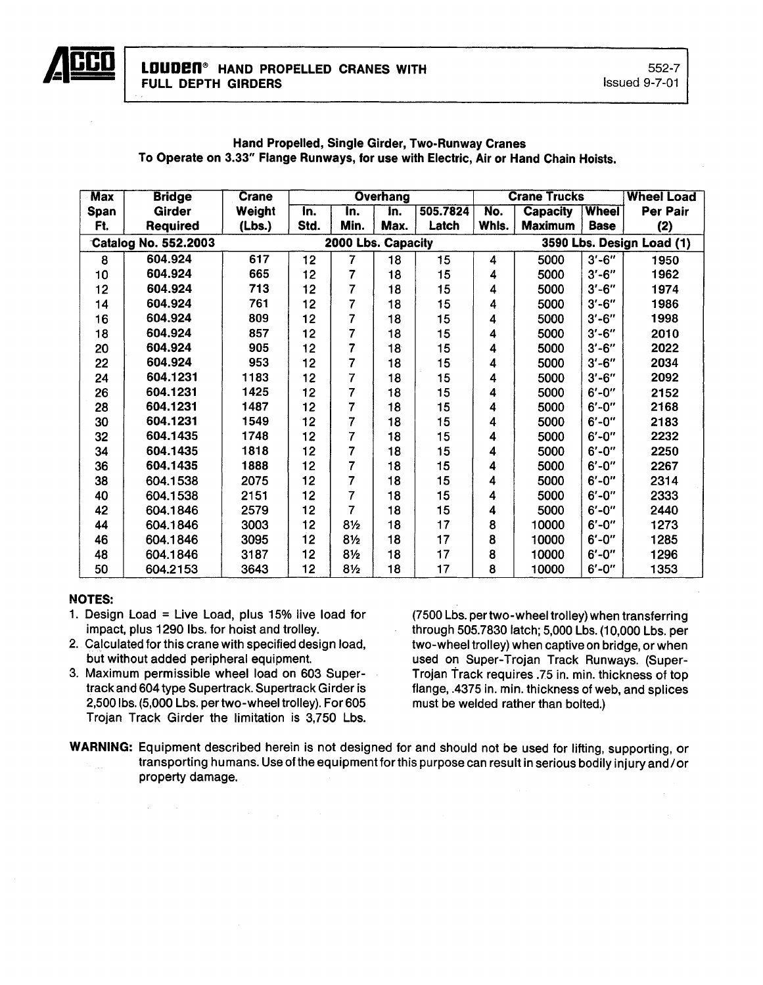

| <b>Max</b> | <b>Bridge</b>               | <b>Crane</b> | <b>Overhang</b> |                    |                    |          |       | <b>Crane Trucks</b> | <b>Wheel Load</b> |                           |
|------------|-----------------------------|--------------|-----------------|--------------------|--------------------|----------|-------|---------------------|-------------------|---------------------------|
| Span       | Girder                      | Weight       | In.             | In.                | $\overline{\ln}$ . | 505.7824 | No.   | <b>Capacity</b>     | <b>Wheel</b>      | Per Pair                  |
| Ft.        | Required                    | (Lbs.)       | Std.            | Min.               | Max.               | Latch    | Whls. | <b>Maximum</b>      | <b>Base</b>       | (2)                       |
|            | <b>Catalog No. 552.2003</b> |              |                 | 2000 Lbs. Capacity |                    |          |       |                     |                   | 3590 Lbs. Design Load (1) |
| 8          | 604.924                     | 617          | 12              | $\overline{7}$     | 18                 | 15       | 4     | 5000                | $3' - 6''$        | 1950                      |
| 10         | 604.924                     | 665          | 12              | 7                  | 18                 | 15       | 4     | 5000                | $3' - 6''$        | 1962                      |
| 12         | 604.924                     | 713          | 12              | 7                  | 18                 | 15       | 4     | 5000                | $3' - 6''$        | 1974                      |
| 14         | 604.924                     | 761          | 12              | 7                  | 18                 | 15       | 4     | 5000                | $3' - 6''$        | 1986                      |
| 16         | 604.924                     | 809          | 12              | 7                  | 18                 | 15       | 4     | 5000                | $3' - 6''$        | 1998                      |
| 18         | 604.924                     | 857          | 12              | 7                  | 18                 | 15       | 4     | 5000                | $3' - 6''$        | 2010                      |
| 20         | 604.924                     | 905          | 12              | 7                  | 18                 | 15       | 4     | 5000                | $3' - 6''$        | 2022                      |
| 22         | 604.924                     | 953          | 12              | 7                  | 18                 | 15       | 4     | 5000                | $3' - 6''$        | 2034                      |
| 24         | 604.1231                    | 1183         | 12              | 7                  | 18                 | 15       | 4     | 5000                | $3' - 6''$        | 2092                      |
| 26         | 604.1231                    | 1425         | 12              | 7                  | 18                 | 15       | 4     | 5000                | $6' - 0''$        | 2152                      |
| 28         | 604.1231                    | 1487         | 12              | 7                  | 18                 | 15       | 4     | 5000                | $6' - 0''$        | 2168                      |
| 30         | 604.1231                    | 1549         | 12              | 7                  | 18                 | 15       | 4     | 5000                | $6' - 0''$        | 2183                      |
| 32         | 604.1435                    | 1748         | 12              | 7                  | 18                 | 15       | 4     | 5000                | $6' - 0''$        | 2232                      |
| 34         | 604.1435                    | 1818         | 12              | 7                  | 18                 | 15       | 4     | 5000                | $6' - 0''$        | 2250                      |
| 36         | 604.1435                    | 1888         | 12              | $\overline{7}$     | 18                 | 15       | 4     | 5000                | $6' - 0''$        | 2267                      |
| 38         | 604.1538                    | 2075         | 12              | 7                  | 18                 | 15       | 4     | 5000                | $6' - 0''$        | 2314                      |
| 40         | 604.1538                    | 2151         | 12              | 7                  | 18                 | 15       | 4     | 5000                | $6' - 0''$        | 2333                      |
| 42         | 604.1846                    | 2579         | 12              | 7                  | 18                 | 15       | 4     | 5000                | $6' - 0''$        | 2440                      |
| 44         | 604.1846                    | 3003         | 12              | $8\frac{1}{2}$     | 18                 | 17       | 8     | 10000               | $6' - 0''$        | 1273                      |
| 46         | 604.1846                    | 3095         | 12              | $8\frac{1}{2}$     | 18                 | 17       | 8     | 10000               | $6' - 0''$        | 1285                      |
| 48         | 604.1846                    | 3187         | 12              | $8\frac{1}{2}$     | 18                 | 17       | 8     | 10000               | $6' - 0''$        | 1296                      |
| 50         | 604.2153                    | 3643         | 12              | $8\frac{1}{2}$     | 18                 | 17       | 8     | 10000               | $6' - 0''$        | 1353                      |

## Hand Propelled, Single Girder, Two-Runway Cranes To Operate on 3.33" Flange Runways, for use with Electric, Air or Hand Chain Hoists.

# NOTES:

- 1. Design Load = Live Load, plus  $15\%$  live load for impact, plus 1290 Ibs. for hoist and trolley.
- 2. Calculated for this crane with specified design load, but without added peripheral equipment.
- 3. Maximum permissible wheel load on 603 Supertrack and 604 type Supertrack. Supertrack Girder is 2,500 Ibs. (5,000 Lbs. pertwo-wheel trolley). For 605 Trojan Track Girder the limitation is 3,750 Lbs.

(7500 Lbs. pertwo-wheel trolley) when transferring through 505.7830 latch; 5,000 Lbs. (10,000 Lbs. per two-wheel trolley) when captive on bridge, or when used on Super-Trojan Track Runways. (Super-Trojan Track requires .75 in. min. thickness of top flange, .4375 in. min. thickness of web, and splices must be welded rather than bolted.)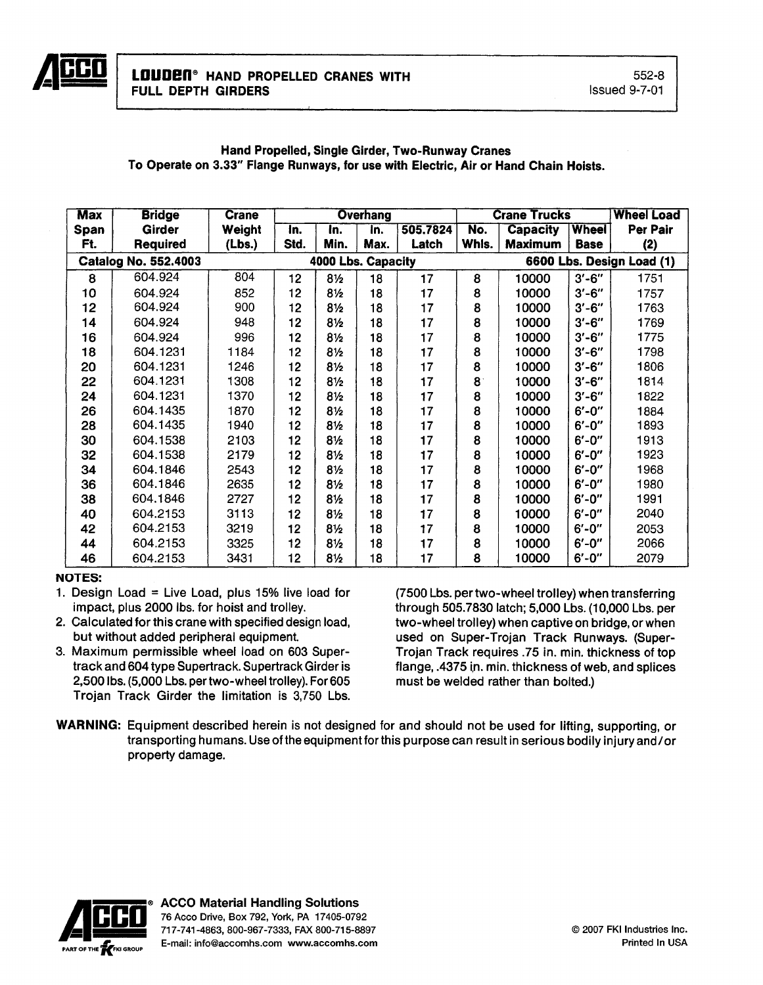| <b>Max</b> | <b>Bridge</b>        | <b>Crane</b> |      |                    | <b>Overhang</b> |          |             | <b>Crane Trucks</b> | <b>Wheel Load</b> |                           |
|------------|----------------------|--------------|------|--------------------|-----------------|----------|-------------|---------------------|-------------------|---------------------------|
| Span       | <b>Girder</b>        | Weight       | In.  | In.                | In.             | 505.7824 | No.         | <b>Capacity</b>     | <b>Wheel</b>      | Per Pair                  |
| Ft.        | <b>Required</b>      | (Lbs.)       | Std. | Min.               | Max.            | Latch    | Whls.       | <b>Maximum</b>      | <b>Base</b>       | (2)                       |
|            | Catalog No. 552.4003 |              |      | 4000 Lbs. Capacity |                 |          |             |                     |                   | 6600 Lbs. Design Load (1) |
| 8          | 604.924              | 804          | 12   | 8 <sub>2</sub>     | 18              | 17       | 8           | 10000               | $3' - 6''$        | 1751                      |
| 10         | 604.924              | 852          | 12   | $8\frac{1}{2}$     | 18              | 17       | 8           | 10000               | $3' - 6''$        | 1757                      |
| 12         | 604.924              | 900          | 12   | $8\frac{1}{2}$     | 18              | 17       | 8           | 10000               | $3' - 6''$        | 1763                      |
| 14         | 604.924              | 948          | 12   | 8½                 | 18              | 17       | 8           | 10000               | $3' - 6''$        | 1769                      |
| 16         | 604.924              | 996          | 12   | $8\frac{1}{2}$     | 18              | 17       | 8           | 10000               | $3' - 6''$        | 1775                      |
| 18         | 604.1231             | 1184         | 12   | $8\frac{1}{2}$     | 18              | 17       | 8           | 10000               | $3'-6''$          | 1798                      |
| 20         | 604.1231             | 1246         | 12   | $8\frac{1}{2}$     | 18              | 17       | 8           | 10000               | $3' - 6''$        | 1806                      |
| 22         | 604.1231             | 1308         | 12   | $8\frac{1}{2}$     | 18              | 17       | $8^{\circ}$ | 10000               | $3' - 6''$        | 1814                      |
| 24         | 604.1231             | 1370         | 12   | $8\frac{1}{2}$     | 18              | 17       | 8           | 10000               | $3' - 6''$        | 1822                      |
| 26         | 604.1435             | 1870         | 12   | 8½                 | 18              | 17       | 8           | 10000               | $6' - 0''$        | 1884                      |
| 28         | 604.1435             | 1940         | 12   | $8\frac{1}{2}$     | 18              | 17       | 8           | 10000               | $6' - 0''$        | 1893                      |
| 30         | 604.1538             | 2103         | 12   | $8\frac{1}{2}$     | 18              | 17       | 8           | 10000               | $6' - 0''$        | 1913                      |
| 32         | 604.1538             | 2179         | 12   | $8\frac{1}{2}$     | 18              | 17       | 8           | 10000               | $6' - 0''$        | 1923                      |
| 34         | 604.1846             | 2543         | 12   | $8\frac{1}{2}$     | 18              | 17       | 8           | 10000               | $6' - 0''$        | 1968                      |
| 36         | 604.1846             | 2635         | 12   | $8\frac{1}{2}$     | 18              | 17       | 8           | 10000               | $6' - 0''$        | 1980                      |
| 38         | 604.1846             | 2727         | 12   | 8½                 | 18              | 17       | 8           | 10000               | $6' - 0''$        | 1991                      |
| 40         | 604.2153             | 3113         | 12   | 8 <sub>2</sub>     | 18              | 17       | 8           | 10000               | $6' - 0''$        | 2040                      |
| 42         | 604.2153             | 3219         | 12   | $8\frac{1}{2}$     | 18              | 17       | 8           | 10000               | $6' - 0''$        | 2053                      |
| 44         | 604.2153             | 3325         | 12   | 8½                 | 18              | 17       | 8           | 10000               | $6' - 0''$        | 2066                      |
| 46         | 604.2153             | 3431         | 12   | 8½                 | 18              | 17       | 8           | 10000               | $6' - 0''$        | 2079                      |

# Hand Propelled, Single Girder, Two-Runway Cranes To Operate on 3.33" Flange Runways, for use with Electric, Air or Hand Chain Hoists.

# NOTES:

- 1. Design Load = Live Load, plus  $15\%$  live load for impact, plus 2000 Ibs. for hoist and trolley.
- 2. Calculated for this crane with specified design load, but without added peripheral equipment.
- 3. Maximum permissible wheel load on 603 Supertrack and 604 type Supertrack. Supertrack Girder is 2,500 Ibs. (5,000 Lbs. pertwo-wheel trolley). For 605 Trojan Track Girder the limitation is 3,750 Lbs.

(7500 Lbs. per two-wheel trolley) when transferring through 505.7830 latch; 5.000 Lbs. (10,000 Lbs. per two-wheel trolley) when captive on bridge, or when used on Super-Trojan Track Runways. (Super-Trojan Track requires .75 in. min. thickness of top flange, .4375 in. min. thickness of web, and splices must be welded rather than bolted.)